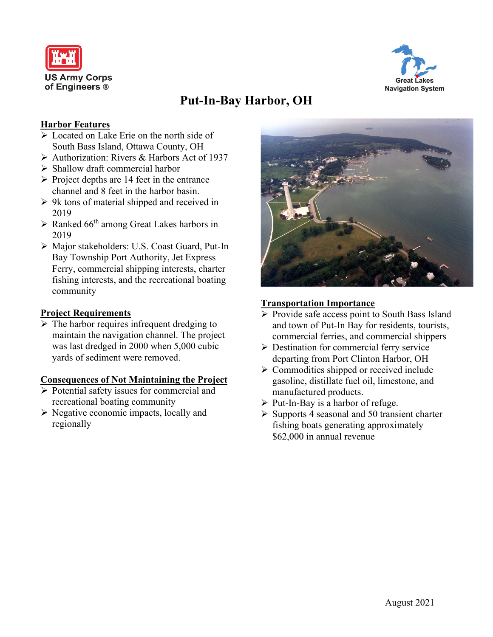



# **Put-In-Bay Harbor, OH**

# **Harbor Features**

- Located on Lake Erie on the north side of South Bass Island, Ottawa County, OH
- Authorization: Rivers & Harbors Act of 1937
- $\triangleright$  Shallow draft commercial harbor
- $\triangleright$  Project depths are 14 feet in the entrance channel and 8 feet in the harbor basin.
- $\triangleright$  9k tons of material shipped and received in 2019
- $\triangleright$  Ranked 66<sup>th</sup> among Great Lakes harbors in 2019
- Major stakeholders: U.S. Coast Guard, Put-In Bay Township Port Authority, Jet Express Ferry, commercial shipping interests, charter fishing interests, and the recreational boating community

## **Project Requirements**

 $\triangleright$  The harbor requires infrequent dredging to maintain the navigation channel. The project was last dredged in 2000 when 5,000 cubic yards of sediment were removed.

#### **Consequences of Not Maintaining the Project**

- $\triangleright$  Potential safety issues for commercial and recreational boating community
- $\triangleright$  Negative economic impacts, locally and regionally



## **Transportation Importance**

- $\triangleright$  Provide safe access point to South Bass Island and town of Put-In Bay for residents, tourists, commercial ferries, and commercial shippers
- $\triangleright$  Destination for commercial ferry service departing from Port Clinton Harbor, OH
- $\triangleright$  Commodities shipped or received include gasoline, distillate fuel oil, limestone, and manufactured products.
- $\triangleright$  Put-In-Bay is a harbor of refuge.
- $\triangleright$  Supports 4 seasonal and 50 transient charter fishing boats generating approximately \$62,000 in annual revenue